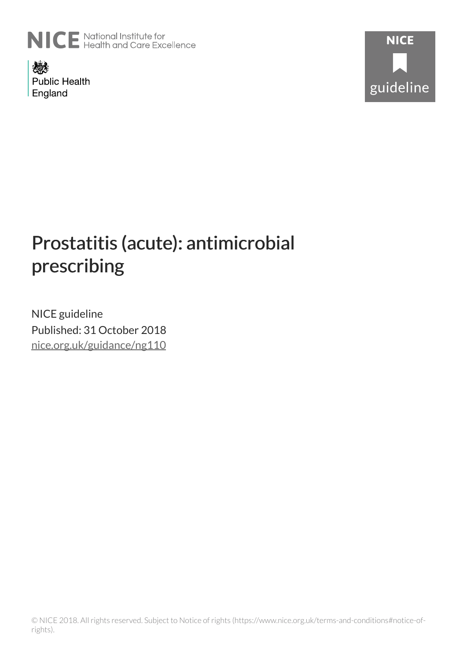

燃 **Public Health** England



# Prostatitis (acute): antimicrobial prescribing

NICE guideline Published: 31 October 2018 [nice.org.uk/guidance/ng110](http://nice.org.uk/guidance/ng110)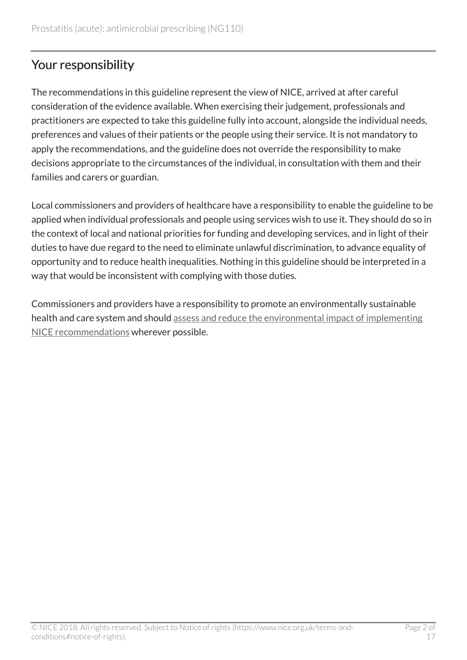# Your responsibility

The recommendations in this guideline represent the view of NICE, arrived at after careful consideration of the evidence available. When exercising their judgement, professionals and practitioners are expected to take this guideline fully into account, alongside the individual needs, preferences and values of their patients or the people using their service. It is not mandatory to apply the recommendations, and the guideline does not override the responsibility to make decisions appropriate to the circumstances of the individual, in consultation with them and their families and carers or guardian.

Local commissioners and providers of healthcare have a responsibility to enable the guideline to be applied when individual professionals and people using services wish to use it. They should do so in the context of local and national priorities for funding and developing services, and in light of their duties to have due regard to the need to eliminate unlawful discrimination, to advance equality of opportunity and to reduce health inequalities. Nothing in this guideline should be interpreted in a way that would be inconsistent with complying with those duties.

Commissioners and providers have a responsibility to promote an environmentally sustainable health and care system and should [assess and reduce the environmental impact of implementing](https://www.nice.org.uk/about/who-we-are/sustainability) [NICE recommendations](https://www.nice.org.uk/about/who-we-are/sustainability) wherever possible.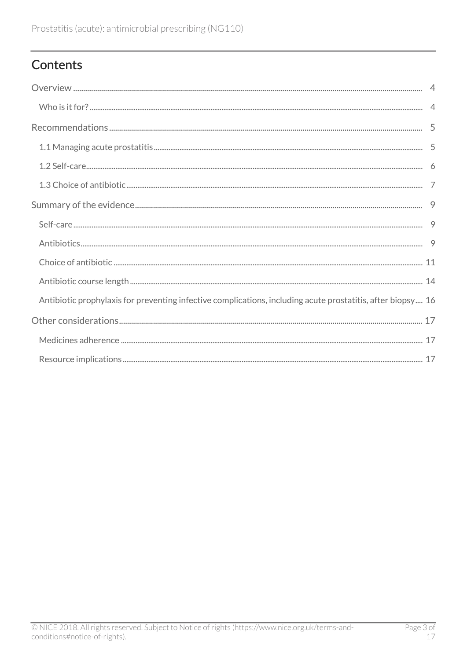# Contents

| Antibiotic prophylaxis for preventing infective complications, including acute prostatitis, after biopsy 16 |  |
|-------------------------------------------------------------------------------------------------------------|--|
|                                                                                                             |  |
|                                                                                                             |  |
|                                                                                                             |  |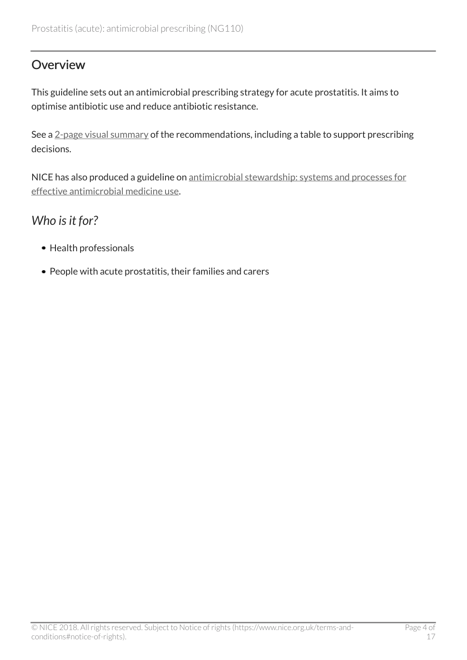### <span id="page-3-0"></span>**Overview**

This guideline sets out an antimicrobial prescribing strategy for acute prostatitis. It aims to optimise antibiotic use and reduce antibiotic resistance.

See a [2-page visual summary](https://www.nice.org.uk/guidance/ng110/resources/visual-summary-pdf-6544018477) of the recommendations, including a table to support prescribing decisions.

NICE has also produced a guideline on [antimicrobial stewardship: systems and processes for](http://www.nice.org.uk/guidance/ng15) [effective antimicrobial medicine use](http://www.nice.org.uk/guidance/ng15).

# <span id="page-3-1"></span>*Who is it for?*

- Health professionals
- People with acute prostatitis, their families and carers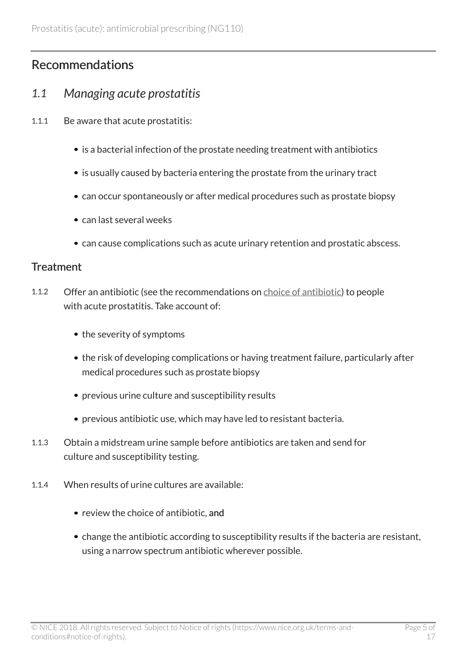# <span id="page-4-0"></span>Recommendations

### <span id="page-4-1"></span>*1.1 Managing acute prostatitis*

- 1.1.1 Be aware that acute prostatitis:
	- is a bacterial infection of the prostate needing treatment with antibiotics
	- is usually caused by bacteria entering the prostate from the urinary tract
	- can occur spontaneously or after medical procedures such as prostate biopsy
	- can last several weeks
	- can cause complications such as acute urinary retention and prostatic abscess.

#### **Treatment**

- 1.1.2 Offer an antibiotic (see the recommendations on [choice of antibiotic](#page-6-0)) to people with acute prostatitis. Take account of:
	- the severity of symptoms
	- the risk of developing complications or having treatment failure, particularly after medical procedures such as prostate biopsy
	- previous urine culture and susceptibility results
	- previous antibiotic use, which may have led to resistant bacteria.
- 1.1.3 Obtain a midstream urine sample before antibiotics are taken and send for culture and susceptibility testing.
- 1.1.4 When results of urine cultures are available:
	- review the choice of antibiotic, and
	- change the antibiotic according to susceptibility results if the bacteria are resistant, using a narrow spectrum antibiotic wherever possible.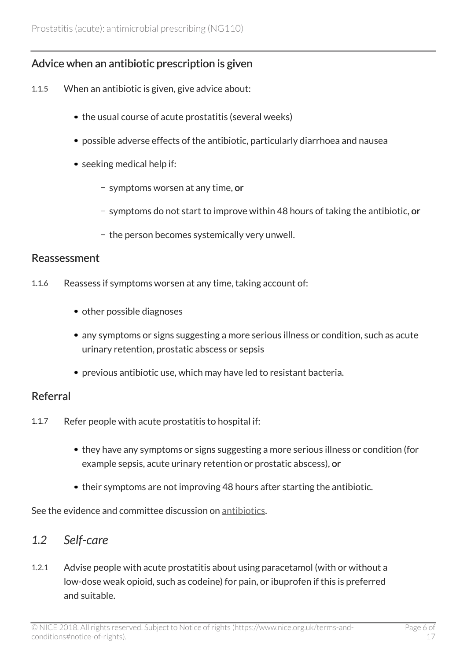### Advice when an antibiotic prescription is given

- 1.1.5 When an antibiotic is given, give advice about:
	- the usual course of acute prostatitis (several weeks)
	- possible adverse effects of the antibiotic, particularly diarrhoea and nausea
	- seeking medical help if:
		- symptoms worsen at any time, or
		- symptoms do not start to improve within 48 hours of taking the antibiotic, or
		- the person becomes systemically very unwell.

#### Reassessment

- 1.1.6 Reassess if symptoms worsen at any time, taking account of:
	- other possible diagnoses
	- any symptoms or signs suggesting a more serious illness or condition, such as acute urinary retention, prostatic abscess or sepsis
	- previous antibiotic use, which may have led to resistant bacteria.

#### Referral

- 1.1.7 Refer people with acute prostatitis to hospital if:
	- they have any symptoms or signs suggesting a more serious illness or condition (for example sepsis, acute urinary retention or prostatic abscess), or
	- their symptoms are not improving 48 hours after starting the antibiotic.

See the evidence and committee discussion on [antibiotics](#page-8-2).

### <span id="page-5-0"></span>*1.2 Self-care*

1.2.1 Advise people with acute prostatitis about using paracetamol (with or without a low-dose weak opioid, such as codeine) for pain, or ibuprofen if this is preferred and suitable.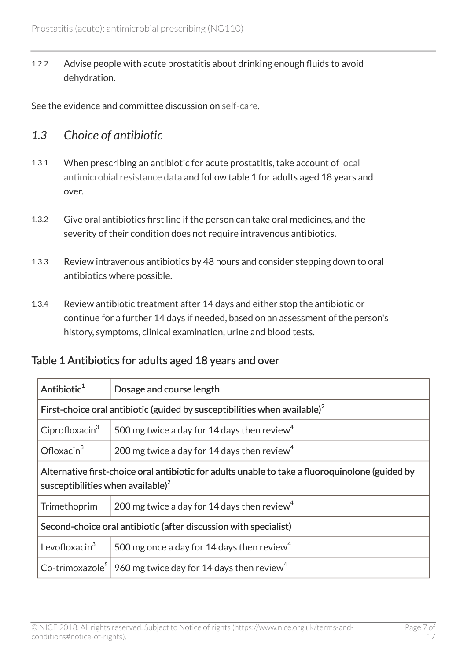1.2.2 Advise people with acute prostatitis about drinking enough fluids to avoid dehydration.

See the evidence and committee discussion on [self-care.](#page-8-1)

### <span id="page-6-0"></span>*1.3 Choice of antibiotic*

- 1.3.1 When prescribing an antibiotic for acute prostatitis, take account of [local](https://fingertips.phe.org.uk/profile/amr-local-indicators) [antimicrobial resistance data](https://fingertips.phe.org.uk/profile/amr-local-indicators) and follow table 1 for adults aged 18 years and over.
- 1.3.2 Give oral antibiotics first line if the person can take oral medicines, and the severity of their condition does not require intravenous antibiotics.
- 1.3.3 Review intravenous antibiotics by 48 hours and consider stepping down to oral antibiotics where possible.
- 1.3.4 Review antibiotic treatment after 14 days and either stop the antibiotic or continue for a further 14 days if needed, based on an assessment of the person's history, symptoms, clinical examination, urine and blood tests.

#### Table 1 Antibiotics for adults aged 18 years and over

| Antibiotic <sup>1</sup>                                                                                                                    | Dosage and course length                                |  |
|--------------------------------------------------------------------------------------------------------------------------------------------|---------------------------------------------------------|--|
| First-choice oral antibiotic (guided by susceptibilities when available) <sup>2</sup>                                                      |                                                         |  |
| Ciprofloxacin $3$                                                                                                                          | 500 mg twice a day for 14 days then review <sup>4</sup> |  |
| Ofloxacin $3$                                                                                                                              | 200 mg twice a day for 14 days then review <sup>4</sup> |  |
| Alternative first-choice oral antibiotic for adults unable to take a fluoroquinolone (guided by<br>susceptibilities when available) $^{2}$ |                                                         |  |
| Trimethoprim                                                                                                                               | 200 mg twice a day for 14 days then review <sup>4</sup> |  |
| Second-choice oral antibiotic (after discussion with specialist)                                                                           |                                                         |  |
| Levofloxacin $3$                                                                                                                           | 500 mg once a day for 14 days then review <sup>4</sup>  |  |
| Co-trimoxazole <sup>5</sup>                                                                                                                | 960 mg twice day for 14 days then review <sup>4</sup>   |  |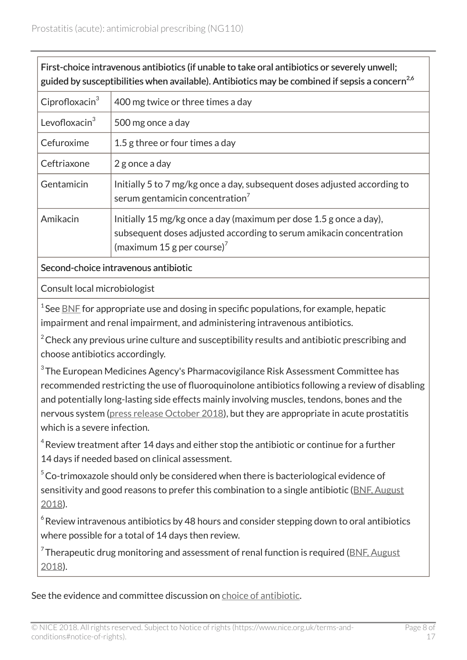| First-choice intravenous antibiotics (if unable to take oral antibiotics or severely unwell;<br>guided by susceptibilities when available). Antibiotics may be combined if sepsis a concern <sup>2,6</sup>                         |                                                                                                                                                                                     |  |
|------------------------------------------------------------------------------------------------------------------------------------------------------------------------------------------------------------------------------------|-------------------------------------------------------------------------------------------------------------------------------------------------------------------------------------|--|
| Ciprofloxacin $3$                                                                                                                                                                                                                  | 400 mg twice or three times a day                                                                                                                                                   |  |
| Levofloxacin $3$                                                                                                                                                                                                                   | 500 mg once a day                                                                                                                                                                   |  |
| Cefuroxime                                                                                                                                                                                                                         | 1.5 g three or four times a day                                                                                                                                                     |  |
| Ceftriaxone                                                                                                                                                                                                                        | 2 g once a day                                                                                                                                                                      |  |
| Gentamicin                                                                                                                                                                                                                         | Initially 5 to 7 mg/kg once a day, subsequent doses adjusted according to<br>serum gentamicin concentration <sup>7</sup>                                                            |  |
| Amikacin                                                                                                                                                                                                                           | Initially 15 mg/kg once a day (maximum per dose 1.5 g once a day),<br>subsequent doses adjusted according to serum amikacin concentration<br>(maximum 15 g per course) <sup>7</sup> |  |
| $\bullet$ . The contract of the contract of the contract of the contract of the contract of the contract of the contract of the contract of the contract of the contract of the contract of the contract of the contract of the co |                                                                                                                                                                                     |  |

Second-choice intravenous antibiotic

Consult local microbiologist

 $^{\rm 1}$ See <u>[BNF](https://bnf.nice.org.uk/)</u> for appropriate use and dosing in specific populations, for example, hepatic impairment and renal impairment, and administering intravenous antibiotics.

 $2^2$ Check any previous urine culture and susceptibility results and antibiotic prescribing and choose antibiotics accordingly.

 $^3$ The European Medicines Agency's Pharmacovigilance Risk Assessment Committee has recommended restricting the use of fluoroquinolone antibiotics following a review of disabling and potentially long-lasting side effects mainly involving muscles, tendons, bones and the nervous system ([press release October 2018\)](https://www.ema.europa.eu/en/news/fluoroquinolone-quinolone-antibiotics-prac-recommends-restrictions-use), but they are appropriate in acute prostatitis which is a severe infection.

 $^4$ Review treatment after 14 days and either stop the antibiotic or continue for a further 14 days if needed based on clinical assessment.

 $5$ Co-trimoxazole should only be considered when there is bacteriological evidence of sensitivity and good reasons to prefer this combination to a single antibiotic [\(BNF, August](https://bnf.nice.org.uk/drug/co-trimoxazole.html) [2018\)](https://bnf.nice.org.uk/drug/co-trimoxazole.html).

 $^{\circ}$ Review intravenous antibiotics by 48 hours and consider stepping down to oral antibiotics where possible for a total of 14 days then review.

 $^7$ Therapeutic drug monitoring and assessment of renal function is required (<u>BNF, August</u> [2018\)](https://bnf.nice.org.uk/).

See the evidence and committee discussion on [choice of antibiotic](#page-10-0).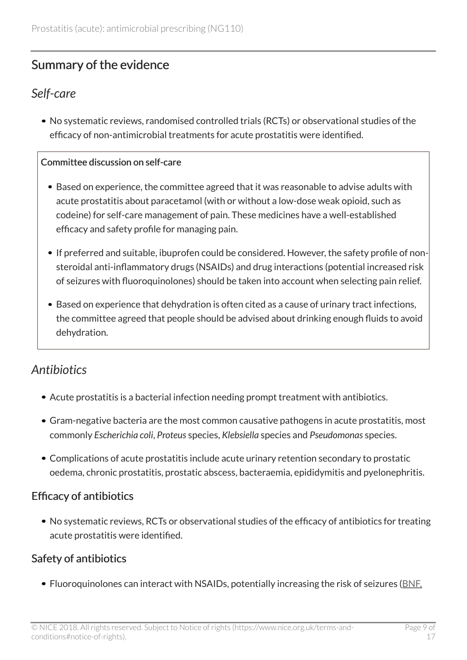# <span id="page-8-0"></span>Summary of the evidence

### <span id="page-8-1"></span>*Self-care*

No systematic reviews, randomised controlled trials (RCTs) or observational studies of the efficacy of non-antimicrobial treatments for acute prostatitis were identified.

#### Committee discussion on self-care

- Based on experience, the committee agreed that it was reasonable to advise adults with acute prostatitis about paracetamol (with or without a low-dose weak opioid, such as codeine) for self-care management of pain. These medicines have a well-established efficacy and safety profile for managing pain.
- If preferred and suitable, ibuprofen could be considered. However, the safety profile of nonsteroidal anti-inflammatory drugs (NSAIDs) and drug interactions (potential increased risk of seizures with fluoroquinolones) should be taken into account when selecting pain relief.
- Based on experience that dehydration is often cited as a cause of urinary tract infections, the committee agreed that people should be advised about drinking enough fluids to avoid dehydration.

# <span id="page-8-2"></span>*Antibiotics*

- Acute prostatitis is a bacterial infection needing prompt treatment with antibiotics.
- Gram-negative bacteria are the most common causative pathogens in acute prostatitis, most commonly *Escherichia coli*, *Proteus* species, *Klebsiella* species and *Pseudomonas* species.
- Complications of acute prostatitis include acute urinary retention secondary to prostatic oedema, chronic prostatitis, prostatic abscess, bacteraemia, epididymitis and pyelonephritis.

### Efficacy of antibiotics

No systematic reviews, RCTs or observational studies of the efficacy of antibiotics for treating acute prostatitis were identified.

### Safety of antibiotics

• Fluoroquinolones can interact with NSAIDs, potentially increasing the risk of seizures ([BNF,](https://bnf.nice.org.uk/drug/ciprofloxacin.html)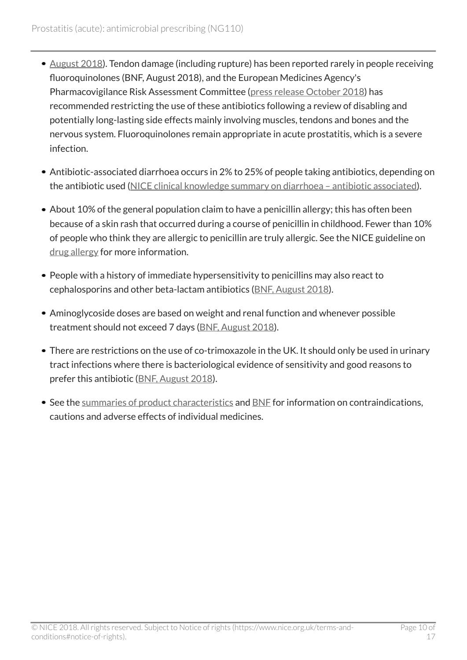- [August 2018\)](https://bnf.nice.org.uk/drug/ciprofloxacin.html). Tendon damage (including rupture) has been reported rarely in people receiving fluoroquinolones (BNF, August 2018), and the European Medicines Agency's Pharmacovigilance Risk Assessment Committee [\(press release October 2018\)](https://www.ema.europa.eu/en/news/fluoroquinolone-quinolone-antibiotics-prac-recommends-restrictions-use) has recommended restricting the use of these antibiotics following a review of disabling and potentially long-lasting side effects mainly involving muscles, tendons and bones and the nervous system. Fluoroquinolones remain appropriate in acute prostatitis, which is a severe infection.
- Antibiotic-associated diarrhoea occurs in 2% to 25% of people taking antibiotics, depending on the antibiotic used [\(NICE clinical knowledge summary on diarrhoea – antibiotic associated](https://cks.nice.org.uk/diarrhoea-antibiotic-associated)).
- About 10% of the general population claim to have a penicillin allergy; this has often been because of a skin rash that occurred during a course of penicillin in childhood. Fewer than 10% of people who think they are allergic to penicillin are truly allergic. See the NICE guideline on [drug allergy](http://www.nice.org.uk/guidance/cg183) for more information.
- People with a history of immediate hypersensitivity to penicillins may also react to cephalosporins and other beta-lactam antibiotics [\(BNF, August 2018](https://bnf.nice.org.uk/drug/phenoxymethylpenicillin.html)).
- Aminoglycoside doses are based on weight and renal function and whenever possible treatment should not exceed 7 days ([BNF, August 2018](https://bnf.nice.org.uk/drug/gentamicin.html)).
- There are restrictions on the use of co-trimoxazole in the UK. It should only be used in urinary tract infections where there is bacteriological evidence of sensitivity and good reasons to prefer this antibiotic [\(BNF, August 2018](https://bnf.nice.org.uk/drug/co-trimoxazole.html)).
- See the [summaries of product characteristics](https://www.medicines.org.uk/emc/) and [BNF](https://bnf.nice.org.uk/) for information on contraindications, cautions and adverse effects of individual medicines.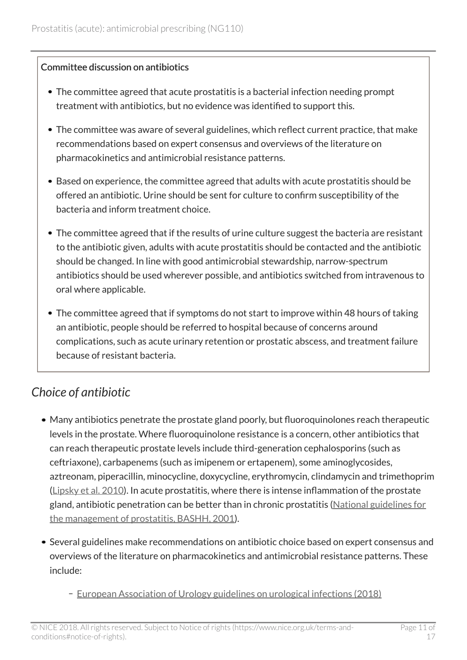#### Committee discussion on antibiotics

- The committee agreed that acute prostatitis is a bacterial infection needing prompt treatment with antibiotics, but no evidence was identified to support this.
- The committee was aware of several guidelines, which reflect current practice, that make recommendations based on expert consensus and overviews of the literature on pharmacokinetics and antimicrobial resistance patterns.
- Based on experience, the committee agreed that adults with acute prostatitis should be offered an antibiotic. Urine should be sent for culture to confirm susceptibility of the bacteria and inform treatment choice.
- The committee agreed that if the results of urine culture suggest the bacteria are resistant to the antibiotic given, adults with acute prostatitis should be contacted and the antibiotic should be changed. In line with good antimicrobial stewardship, narrow-spectrum antibiotics should be used wherever possible, and antibiotics switched from intravenous to oral where applicable.
- The committee agreed that if symptoms do not start to improve within 48 hours of taking an antibiotic, people should be referred to hospital because of concerns around complications, such as acute urinary retention or prostatic abscess, and treatment failure because of resistant bacteria.

# <span id="page-10-0"></span>*Choice of antibiotic*

- Many antibiotics penetrate the prostate gland poorly, but fluoroquinolones reach therapeutic levels in the prostate. Where fluoroquinolone resistance is a concern, other antibiotics that can reach therapeutic prostate levels include third-generation cephalosporins (such as ceftriaxone), carbapenems (such as imipenem or ertapenem), some aminoglycosides, aztreonam, piperacillin, minocycline, doxycycline, erythromycin, clindamycin and trimethoprim ([Lipsky et al. 2010\)](https://www.ncbi.nlm.nih.gov/pubmed/?term=Lipsky+2010+prostatitis). In acute prostatitis, where there is intense inflammation of the prostate gland, antibiotic penetration can be better than in chronic prostatitis ([National guidelines for](https://www.bashh.org/documents/52/52.pdf) [the management of prostatitis, BASHH, 2001](https://www.bashh.org/documents/52/52.pdf)).
- Several guidelines make recommendations on antibiotic choice based on expert consensus and overviews of the literature on pharmacokinetics and antimicrobial resistance patterns. These include:
	- [European Association of Urology guidelines on urological infections \(2018\)](http://uroweb.org/guideline/urological-infections/)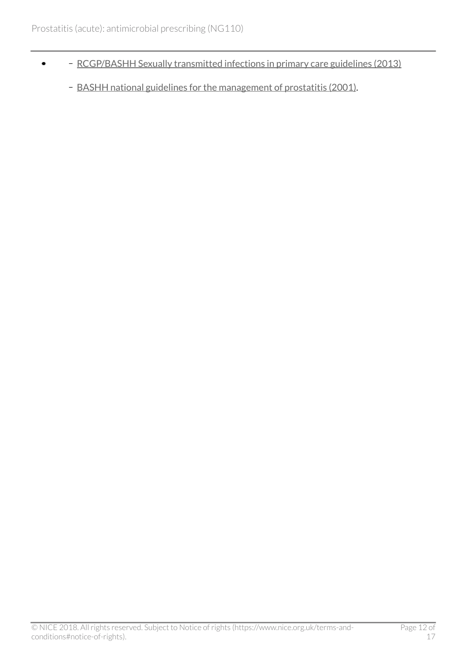- [RCGP/BASHH Sexually transmitted infections in primary care guidelines \(2013\)](https://www.bashh.org/about-bashh/publications/)  $\bullet$ 
	- [BASHH national guidelines for the management of prostatitis \(2001\)](https://www.bashh.org/documents/52/52.pdf).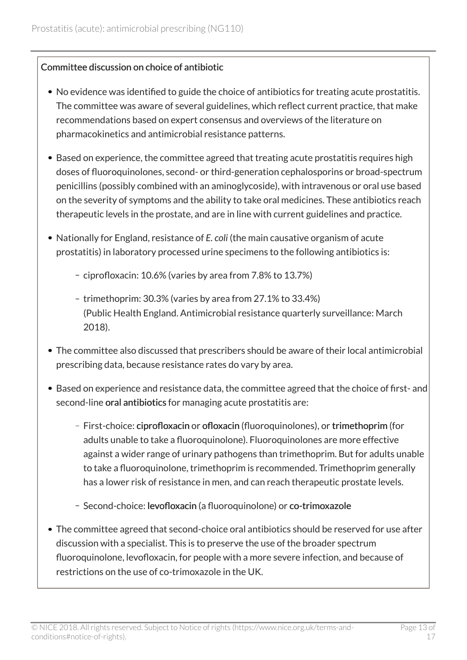#### Committee discussion on choice of antibiotic

- No evidence was identified to guide the choice of antibiotics for treating acute prostatitis. The committee was aware of several guidelines, which reflect current practice, that make recommendations based on expert consensus and overviews of the literature on pharmacokinetics and antimicrobial resistance patterns.
- Based on experience, the committee agreed that treating acute prostatitis requires high doses of fluoroquinolones, second- or third-generation cephalosporins or broad-spectrum penicillins (possibly combined with an aminoglycoside), with intravenous or oral use based on the severity of symptoms and the ability to take oral medicines. These antibiotics reach therapeutic levels in the prostate, and are in line with current guidelines and practice.
- Nationally for England, resistance of *E. coli* (the main causative organism of acute prostatitis) in laboratory processed urine specimens to the following antibiotics is:
	- ciprofloxacin: 10.6% (varies by area from 7.8% to 13.7%)
	- trimethoprim: 30.3% (varies by area from 27.1% to 33.4%) (Public Health England. Antimicrobial resistance quarterly surveillance: March 2018).
- The committee also discussed that prescribers should be aware of their local antimicrobial prescribing data, because resistance rates do vary by area.
- Based on experience and resistance data, the committee agreed that the choice of first- and second-line oral antibiotics for managing acute prostatitis are:
	- First-choice: ciprofloxacin or ofloxacin (fluoroquinolones), or trimethoprim (for adults unable to take a fluoroquinolone). Fluoroquinolones are more effective against a wider range of urinary pathogens than trimethoprim. But for adults unable to take a fluoroquinolone, trimethoprim is recommended. Trimethoprim generally has a lower risk of resistance in men, and can reach therapeutic prostate levels.
	- Second-choice: levofloxacin (a fluoroquinolone) or co-trimoxazole
- The committee agreed that second-choice oral antibiotics should be reserved for use after discussion with a specialist. This is to preserve the use of the broader spectrum fluoroquinolone, levofloxacin, for people with a more severe infection, and because of restrictions on the use of co-trimoxazole in the UK.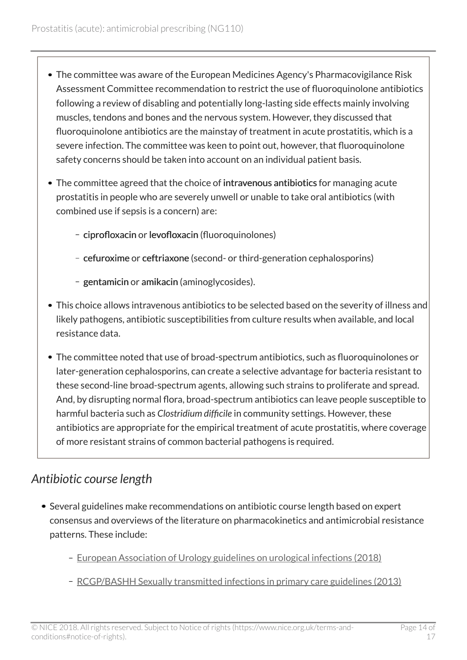- The committee was aware of the European Medicines Agency's Pharmacovigilance Risk Assessment Committee recommendation to restrict the use of fluoroquinolone antibiotics following a review of disabling and potentially long-lasting side effects mainly involving muscles, tendons and bones and the nervous system. However, they discussed that fluoroquinolone antibiotics are the mainstay of treatment in acute prostatitis, which is a severe infection. The committee was keen to point out, however, that fluoroquinolone safety concerns should be taken into account on an individual patient basis.
- The committee agreed that the choice of intravenous antibiotics for managing acute prostatitis in people who are severely unwell or unable to take oral antibiotics (with combined use if sepsis is a concern) are:
	- ciprofloxacin or levofloxacin (fluoroquinolones)
	- cefuroxime or ceftriaxone (second- or third-generation cephalosporins)
	- gentamicin or amikacin (aminoglycosides).
- This choice allows intravenous antibiotics to be selected based on the severity of illness and likely pathogens, antibiotic susceptibilities from culture results when available, and local resistance data.
- The committee noted that use of broad-spectrum antibiotics, such as fluoroquinolones or later-generation cephalosporins, can create a selective advantage for bacteria resistant to these second-line broad-spectrum agents, allowing such strains to proliferate and spread. And, by disrupting normal flora, broad-spectrum antibiotics can leave people susceptible to harmful bacteria such as *Clostridium difficile* in community settings. However, these antibiotics are appropriate for the empirical treatment of acute prostatitis, where coverage of more resistant strains of common bacterial pathogens is required.

# <span id="page-13-0"></span>*Antibiotic course length*

- Several guidelines make recommendations on antibiotic course length based on expert consensus and overviews of the literature on pharmacokinetics and antimicrobial resistance patterns. These include:
	- [European Association of Urology guidelines on urological infections \(2018\)](http://uroweb.org/guideline/urological-infections/)
	- [RCGP/BASHH Sexually transmitted infections in primary care guidelines \(2013\)](https://www.bashh.org/about-bashh/publications/)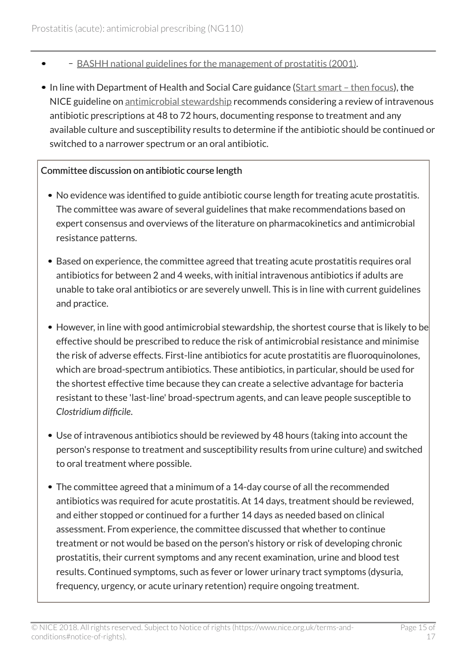- [BASHH national guidelines for the management of prostatitis \(2001\)](https://www.bashh.org/documents/52/52.pdf).
- In line with Department of Health and Social Care guidance (Start smart then focus), the NICE guideline on [antimicrobial stewardship](https://www.gov.uk/government/publications/antimicrobial-stewardship-start-smart-then-focus) recommends considering a review of intravenous antibiotic prescriptions at 48 to 72 hours, documenting response to treatment and any available culture and susceptibility results to determine if the antibiotic should be continued or switched to a narrower spectrum or an oral antibiotic.

#### Committee discussion on antibiotic course length

- No evidence was identified to guide antibiotic course length for treating acute prostatitis. The committee was aware of several guidelines that make recommendations based on expert consensus and overviews of the literature on pharmacokinetics and antimicrobial resistance patterns.
- Based on experience, the committee agreed that treating acute prostatitis requires oral antibiotics for between 2 and 4 weeks, with initial intravenous antibiotics if adults are unable to take oral antibiotics or are severely unwell. This is in line with current guidelines and practice.
- However, in line with good antimicrobial stewardship, the shortest course that is likely to be effective should be prescribed to reduce the risk of antimicrobial resistance and minimise the risk of adverse effects. First-line antibiotics for acute prostatitis are fluoroquinolones, which are broad-spectrum antibiotics. These antibiotics, in particular, should be used for the shortest effective time because they can create a selective advantage for bacteria resistant to these 'last-line' broad-spectrum agents, and can leave people susceptible to *Clostridium difficile*.
- Use of intravenous antibiotics should be reviewed by 48 hours (taking into account the person's response to treatment and susceptibility results from urine culture) and switched to oral treatment where possible.
- The committee agreed that a minimum of a 14-day course of all the recommended antibiotics was required for acute prostatitis. At 14 days, treatment should be reviewed, and either stopped or continued for a further 14 days as needed based on clinical assessment. From experience, the committee discussed that whether to continue treatment or not would be based on the person's history or risk of developing chronic prostatitis, their current symptoms and any recent examination, urine and blood test results. Continued symptoms, such as fever or lower urinary tract symptoms (dysuria, frequency, urgency, or acute urinary retention) require ongoing treatment.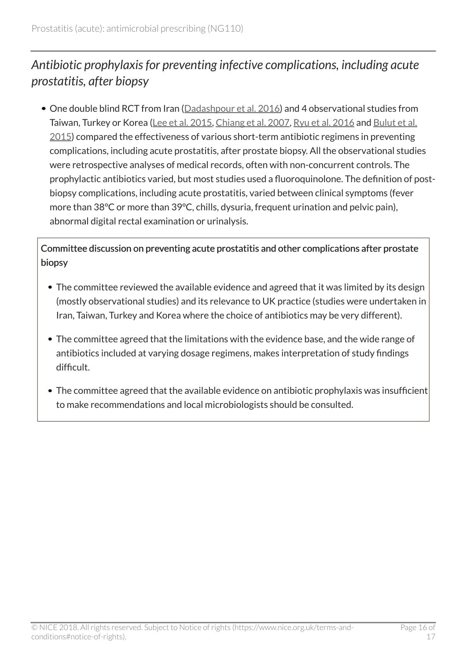# <span id="page-15-0"></span>*Antibiotic prophylaxis for preventing infective complications, including acute prostatitis, after biopsy*

One double blind RCT from Iran ([Dadashpour et al. 2016\)](http://biomedpharmajournal.org/vol9no2/acute-prostatitis-after-transrectal-ultrasound-guided-prostate-biopsy-comparing-two-different-antibiotic-prophylaxis-regimen/) and 4 observational studies from Taiwan, Turkey or Korea ([Lee et al. 2015](https://www.ncbi.nlm.nih.gov/pubmed/26078845), [Chiang et al. 2007](https://www.ncbi.nlm.nih.gov/pubmed/18063514), [Ryu et al. 2016](https://www.ncbi.nlm.nih.gov/pubmed/27495324) and [Bulut et al.](https://www.ncbi.nlm.nih.gov/pubmed/26689515) [2015](https://www.ncbi.nlm.nih.gov/pubmed/26689515)) compared the effectiveness of various short-term antibiotic regimens in preventing complications, including acute prostatitis, after prostate biopsy. All the observational studies were retrospective analyses of medical records, often with non-concurrent controls. The prophylactic antibiotics varied, but most studies used a fluoroquinolone. The definition of postbiopsy complications, including acute prostatitis, varied between clinical symptoms (fever more than 38°C or more than 39°C, chills, dysuria, frequent urination and pelvic pain), abnormal digital rectal examination or urinalysis.

Committee discussion on preventing acute prostatitis and other complications after prostate biopsy

- The committee reviewed the available evidence and agreed that it was limited by its design (mostly observational studies) and its relevance to UK practice (studies were undertaken in Iran, Taiwan, Turkey and Korea where the choice of antibiotics may be very different).
- The committee agreed that the limitations with the evidence base, and the wide range of antibiotics included at varying dosage regimens, makes interpretation of study findings difficult.
- The committee agreed that the available evidence on antibiotic prophylaxis was insufficient to make recommendations and local microbiologists should be consulted.